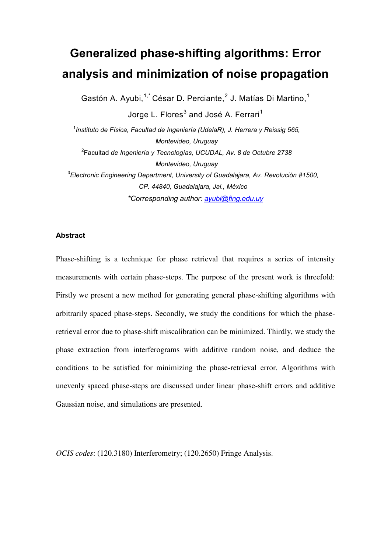# **Generalized phase-shifting algorithms: Error analysis and minimization of noise propagation**

Gastón A. Ayubi,<sup>1,\*</sup> César D. Perciante,<sup>2</sup> J. Matías Di Martino,<sup>1</sup>

Jorge L. Flores $^3$  and José A. Ferrari $^1$ 

1 *Instituto de Física, Facultad de Ingeniería (UdelaR), J. Herrera y Reissig 565, Montevideo, Uruguay*  2 Facultad *de Ingeniería y Tecnologías, UCUDAL, Av. 8 de Octubre 2738 Montevideo, Uruguay*  3 *Electronic Engineering Department, University of Guadalajara, Av. Revolución #1500, CP. 44840, Guadalajara, Jal., México \*Corresponding author: ayubi@fing.edu.uy*

## **Abstract**

Phase-shifting is a technique for phase retrieval that requires a series of intensity measurements with certain phase-steps. The purpose of the present work is threefold: Firstly we present a new method for generating general phase-shifting algorithms with arbitrarily spaced phase-steps. Secondly, we study the conditions for which the phaseretrieval error due to phase-shift miscalibration can be minimized. Thirdly, we study the phase extraction from interferograms with additive random noise, and deduce the conditions to be satisfied for minimizing the phase-retrieval error. Algorithms with unevenly spaced phase-steps are discussed under linear phase-shift errors and additive Gaussian noise, and simulations are presented.

*OCIS codes*: (120.3180) Interferometry; (120.2650) Fringe Analysis.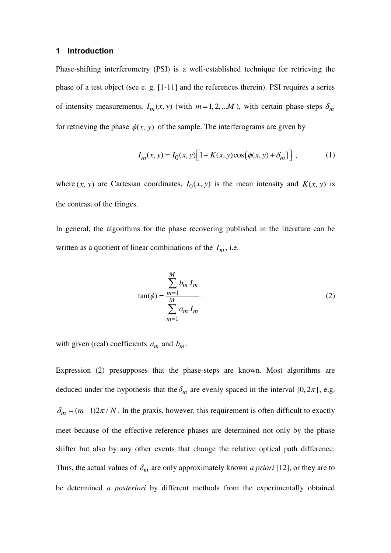## **1 Introduction**

Phase-shifting interferometry (PSI) is a well-established technique for retrieving the phase of a test object (see e. g. [1-11] and the references therein). PSI requires a series of intensity measurements,  $I_m(x, y)$  (with  $m = 1, 2, \dots M$ ), with certain phase-steps  $\delta_m$ for retrieving the phase  $\phi(x, y)$  of the sample. The interferograms are given by

$$
I_m(x, y) = I_0(x, y) \left[ 1 + K(x, y) \cos(\phi(x, y) + \delta_m) \right],
$$
 (1)

where  $(x, y)$  are Cartesian coordinates,  $I_0(x, y)$  is the mean intensity and  $K(x, y)$  is the contrast of the fringes.

In general, the algorithms for the phase recovering published in the literature can be written as a quotient of linear combinations of the  $I_m$ , i.e.

$$
\tan(\phi) = \frac{\sum_{m=1}^{M} b_m I_m}{\sum_{m=1}^{M} a_m I_m}.
$$
\n(2)

with given (real) coefficients  $a_m$  and  $b_m$ .

Expression (2) presupposes that the phase-steps are known. Most algorithms are deduced under the hypothesis that the  $\delta_m$  are evenly spaced in the interval [0, 2 $\pi$ ], e.g.  $\delta_m = (m-1)2\pi / N$ . In the praxis, however, this requirement is often difficult to exactly meet because of the effective reference phases are determined not only by the phase shifter but also by any other events that change the relative optical path difference. Thus, the actual values of  $\delta_m$  are only approximately known *a priori* [12], or they are to be determined *a posteriori* by different methods from the experimentally obtained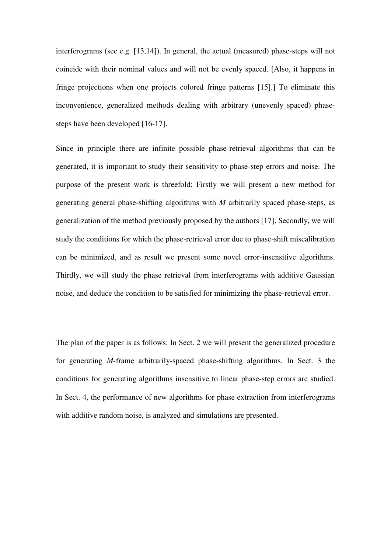interferograms (see e.g. [13,14]). In general, the actual (measured) phase-steps will not coincide with their nominal values and will not be evenly spaced. [Also, it happens in fringe projections when one projects colored fringe patterns [15].] To eliminate this inconvenience, generalized methods dealing with arbitrary (unevenly spaced) phasesteps have been developed [16-17].

Since in principle there are infinite possible phase-retrieval algorithms that can be generated, it is important to study their sensitivity to phase-step errors and noise. The purpose of the present work is threefold: Firstly we will present a new method for generating general phase-shifting algorithms with *M* arbitrarily spaced phase-steps, as generalization of the method previously proposed by the authors [17]. Secondly, we will study the conditions for which the phase-retrieval error due to phase-shift miscalibration can be minimized, and as result we present some novel error-insensitive algorithms. Thirdly, we will study the phase retrieval from interferograms with additive Gaussian noise, and deduce the condition to be satisfied for minimizing the phase-retrieval error.

The plan of the paper is as follows: In Sect. 2 we will present the generalized procedure for generating *M*-frame arbitrarily-spaced phase-shifting algorithms. In Sect. 3 the conditions for generating algorithms insensitive to linear phase-step errors are studied. In Sect. 4, the performance of new algorithms for phase extraction from interferograms with additive random noise, is analyzed and simulations are presented.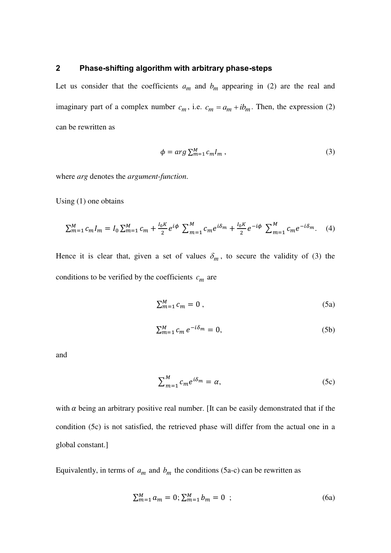## **2 Phase-shifting algorithm with arbitrary phase-steps**

Let us consider that the coefficients  $a_m$  and  $b_m$  appearing in (2) are the real and imaginary part of a complex number  $c_m$ , i.e.  $c_m = a_m + ib_m$ . Then, the expression (2) can be rewritten as

$$
\phi = arg \sum_{m=1}^{M} c_m I_m , \qquad (3)
$$

where *arg* denotes the *argument-function*.

Using (1) one obtains

$$
\sum_{m=1}^{M} c_m I_m = I_0 \sum_{m=1}^{M} c_m + \frac{I_0 K}{2} e^{i\phi} \sum_{m=1}^{M} c_m e^{i\delta_m} + \frac{I_0 K}{2} e^{-i\phi} \sum_{m=1}^{M} c_m e^{-i\delta_m}.
$$
 (4)

Hence it is clear that, given a set of values  $\delta_m$ , to secure the validity of (3) the conditions to be verified by the coefficients *cm* are

$$
\sum_{m=1}^{M} c_m = 0 \tag{5a}
$$

$$
\sum_{m=1}^{M} c_m e^{-i\delta_m} = 0, \tag{5b}
$$

and

$$
\sum_{m=1}^{M} c_m e^{i\delta_m} = \alpha, \tag{5c}
$$

with  $\alpha$  being an arbitrary positive real number. [It can be easily demonstrated that if the condition (5c) is not satisfied, the retrieved phase will differ from the actual one in a global constant.]

Equivalently, in terms of  $a_m$  and  $b_m$  the conditions (5a-c) can be rewritten as

$$
\sum_{m=1}^{M} a_m = 0; \sum_{m=1}^{M} b_m = 0 \quad ; \tag{6a}
$$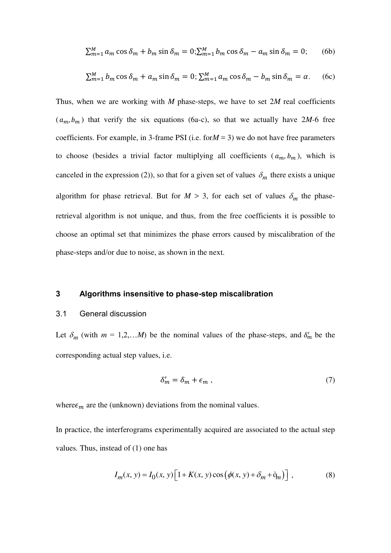$$
\sum_{m=1}^{M} a_m \cos \delta_m + b_m \sin \delta_m = 0; \sum_{m=1}^{M} b_m \cos \delta_m - a_m \sin \delta_m = 0; \qquad (6b)
$$

$$
\sum_{m=1}^{M} b_m \cos \delta_m + a_m \sin \delta_m = 0; \sum_{m=1}^{M} a_m \cos \delta_m - b_m \sin \delta_m = \alpha.
$$
 (6c)

Thus, when we are working with *M* phase-steps, we have to set 2*M* real coefficients  $(a_m, b_m)$  that verify the six equations (6a-c), so that we actually have 2*M*-6 free coefficients. For example, in 3-frame PSI (i.e. for $M = 3$ ) we do not have free parameters to choose (besides a trivial factor multiplying all coefficients  $(a_m, b_m)$ , which is canceled in the expression (2)), so that for a given set of values  $\delta_m$  there exists a unique algorithm for phase retrieval. But for  $M > 3$ , for each set of values  $\delta_m$  the phaseretrieval algorithm is not unique, and thus, from the free coefficients it is possible to choose an optimal set that minimizes the phase errors caused by miscalibration of the phase-steps and/or due to noise, as shown in the next.

#### **3 Algorithms insensitive to phase-step miscalibration**

#### 3.1 General discussion

Let  $\delta_m$  (with  $m = 1, 2, \dots M$ ) be the nominal values of the phase-steps, and  $\delta'_m$  be the corresponding actual step values, i.e.

$$
\delta'_m = \delta_m + \epsilon_m \,,\tag{7}
$$

where  $\epsilon_m$  are the (unknown) deviations from the nominal values.

In practice, the interferograms experimentally acquired are associated to the actual step values*.* Thus, instead of (1) one has

$$
I_m(x, y) = I_0(x, y) \left[ 1 + K(x, y) \cos (\phi(x, y) + \delta_m + \delta_m) \right],
$$
 (8)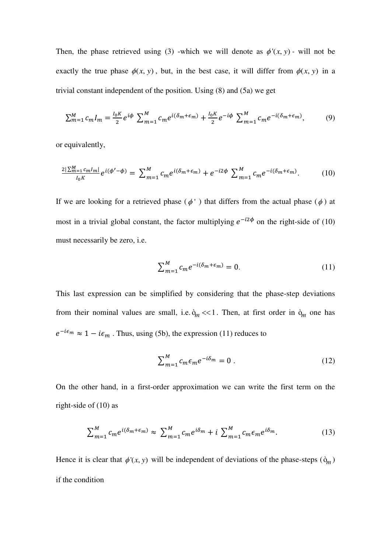Then, the phase retrieved using (3) -which we will denote as  $\phi'(x, y)$  - will not be exactly the true phase  $\phi(x, y)$ , but, in the best case, it will differ from  $\phi(x, y)$  in a trivial constant independent of the position. Using (8) and (5a) we get

$$
\sum_{m=1}^{M} c_m I_m = \frac{I_0 K}{2} e^{i\phi} \sum_{m=1}^{M} c_m e^{i(\delta_m + \epsilon_m)} + \frac{I_0 K}{2} e^{-i\phi} \sum_{m=1}^{M} c_m e^{-i(\delta_m + \epsilon_m)},\tag{9}
$$

or equivalently,

$$
\frac{2|\sum_{m=1}^{M}c_m l_m|}{l_0 K}e^{i(\phi'-\phi)} = \sum_{m=1}^{M}c_m e^{i(\delta_m+\epsilon_m)} + e^{-i2\phi} \sum_{m=1}^{M}c_m e^{-i(\delta_m+\epsilon_m)}.
$$
 (10)

If we are looking for a retrieved phase ( $\phi'$ ) that differs from the actual phase ( $\phi$ ) at most in a trivial global constant, the factor multiplying  $e^{-i2\phi}$  on the right-side of (10) must necessarily be zero, i.e.

$$
\sum_{m=1}^{M} c_m e^{-i(\delta_m + \epsilon_m)} = 0.
$$
 (11)

This last expression can be simplified by considering that the phase-step deviations from their nominal values are small, i.e.  $\dot{\phi}_m \ll 1$ . Then, at first order in  $\dot{\phi}_m$  one has  $e^{-i\epsilon_m} \approx 1 - i\epsilon_m$ . Thus, using (5b), the expression (11) reduces to

$$
\sum_{m=1}^{M} c_m \epsilon_m e^{-i\delta_m} = 0.
$$
 (12)

On the other hand, in a first-order approximation we can write the first term on the right-side of (10) as

$$
\sum_{m=1}^{M} c_m e^{i(\delta_m + \epsilon_m)} \approx \sum_{m=1}^{M} c_m e^{i\delta_m} + i \sum_{m=1}^{M} c_m \epsilon_m e^{i\delta_m}.
$$
 (13)

Hence it is clear that  $\phi'(x, y)$  will be independent of deviations of the phase-steps  $(\delta_m)$ if the condition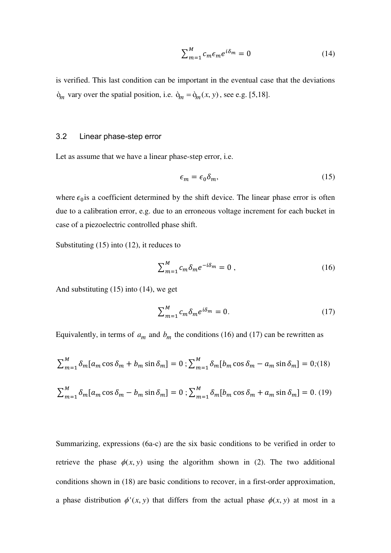$$
\sum_{m=1}^{M} c_m \epsilon_m e^{i\delta_m} = 0 \tag{14}
$$

is verified. This last condition can be important in the eventual case that the deviations  $\dot{\mathbf{p}}_m$  vary over the spatial position, i.e.  $\dot{\mathbf{p}}_m = \dot{\mathbf{p}}_m(x, y)$ , see e.g. [5,18].

#### 3.2 Linear phase-step error

Let as assume that we have a linear phase-step error, i.e.

$$
\epsilon_m = \epsilon_0 \delta_m,\tag{15}
$$

where  $\epsilon_0$  is a coefficient determined by the shift device. The linear phase error is often due to a calibration error, e.g. due to an erroneous voltage increment for each bucket in case of a piezoelectric controlled phase shift.

Substituting (15) into (12), it reduces to

$$
\sum_{m=1}^{M} c_m \delta_m e^{-i\delta_m} = 0 , \qquad (16)
$$

And substituting (15) into (14), we get

$$
\sum_{m=1}^{M} c_m \delta_m e^{i\delta_m} = 0. \tag{17}
$$

Equivalently, in terms of  $a_m$  and  $b_m$  the conditions (16) and (17) can be rewritten as

$$
\sum_{m=1}^{M} \delta_m [a_m \cos \delta_m + b_m \sin \delta_m] = 0; \sum_{m=1}^{M} \delta_m [b_m \cos \delta_m - a_m \sin \delta_m] = 0; (18)
$$
  

$$
\sum_{m=1}^{M} \delta_m [a_m \cos \delta_m - b_m \sin \delta_m] = 0; \sum_{m=1}^{M} \delta_m [b_m \cos \delta_m + a_m \sin \delta_m] = 0. (19)
$$

Summarizing, expressions (6a-c) are the six basic conditions to be verified in order to retrieve the phase  $\phi(x, y)$  using the algorithm shown in (2). The two additional conditions shown in (18) are basic conditions to recover, in a first-order approximation, a phase distribution  $\phi'(x, y)$  that differs from the actual phase  $\phi(x, y)$  at most in a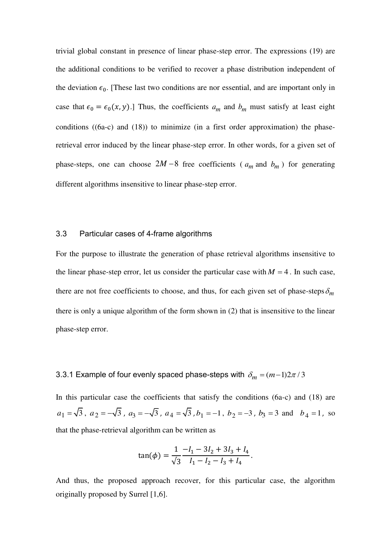trivial global constant in presence of linear phase-step error. The expressions (19) are the additional conditions to be verified to recover a phase distribution independent of the deviation  $\epsilon_0$ . [These last two conditions are nor essential, and are important only in case that  $\epsilon_0 = \epsilon_0(x, y)$ .] Thus, the coefficients  $a_m$  and  $b_m$  must satisfy at least eight conditions  $((6a-c)$  and  $(18)$ ) to minimize (in a first order approximation) the phaseretrieval error induced by the linear phase-step error. In other words, for a given set of phase-steps, one can choose  $2M-8$  free coefficients ( $a_m$  and  $b_m$ ) for generating different algorithms insensitive to linear phase-step error.

#### 3.3 Particular cases of 4-frame algorithms

For the purpose to illustrate the generation of phase retrieval algorithms insensitive to the linear phase-step error, let us consider the particular case with  $M = 4$ . In such case, there are not free coefficients to choose, and thus, for each given set of phase-steps  $\delta_m$ there is only a unique algorithm of the form shown in (2) that is insensitive to the linear phase-step error.

## 3.3.1 Example of four evenly spaced phase-steps with  $\delta_m = (m-1)2\pi/3$

In this particular case the coefficients that satisfy the conditions (6a-c) and (18) are  $a_1 = \sqrt{3}$ ,  $a_2 = -\sqrt{3}$ ,  $a_3 = -\sqrt{3}$ ,  $a_4 = \sqrt{3}$ ,  $b_1 = -1$ ,  $b_2 = -3$ ,  $b_3 = 3$  and  $b_4 = 1$ , so that the phase-retrieval algorithm can be written as

$$
\tan(\phi) = \frac{1}{\sqrt{3}} \frac{-I_1 - 3I_2 + 3I_3 + I_4}{I_1 - I_2 - I_3 + I_4}.
$$

And thus, the proposed approach recover, for this particular case, the algorithm originally proposed by Surrel [1,6].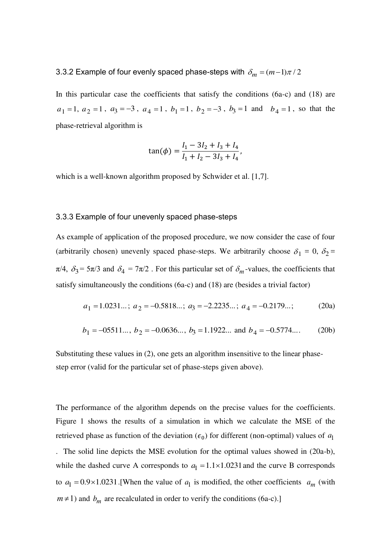3.3.2 Example of four evenly spaced phase-steps with  $\delta_m = (m-1)\pi/2$ 

In this particular case the coefficients that satisfy the conditions (6a-c) and (18) are  $a_1 = 1, a_2 = 1, a_3 = -3, a_4 = 1, b_1 = 1, b_2 = -3, b_3 = 1 \text{ and } b_4 = 1, \text{ so that the }$ phase-retrieval algorithm is

$$
\tan(\phi) = \frac{I_1 - 3I_2 + I_3 + I_4}{I_1 + I_2 - 3I_3 + I_4},
$$

which is a well-known algorithm proposed by Schwider et al. [1,7].

#### 3.3.3 Example of four unevenly spaced phase-steps

As example of application of the proposed procedure, we now consider the case of four (arbitrarily chosen) unevenly spaced phase-steps. We arbitrarily choose  $\delta_1 = 0$ ,  $\delta_2 =$  $\pi/4$ ,  $\delta_3 = 5\pi/3$  and  $\delta_4 = 7\pi/2$ . For this particular set of  $\delta_m$ -values, the coefficients that satisfy simultaneously the conditions (6a-c) and (18) are (besides a trivial factor)

$$
a_1 = 1.0231...
$$
;  $a_2 = -0.5818...$ ;  $a_3 = -2.2235...$ ;  $a_4 = -0.2179...$ ; (20a)

$$
b_1 = -05511...
$$
,  $b_2 = -0.0636...$ ,  $b_3 = 1.1922...$  and  $b_4 = -0.5774...$  (20b)

Substituting these values in (2), one gets an algorithm insensitive to the linear phasestep error (valid for the particular set of phase-steps given above).

The performance of the algorithm depends on the precise values for the coefficients. Figure 1 shows the results of a simulation in which we calculate the MSE of the retrieved phase as function of the deviation  $(\epsilon_0)$  for different (non-optimal) values of  $a_1$ . The solid line depicts the MSE evolution for the optimal values showed in (20a-b), while the dashed curve A corresponds to  $a_1 = 1.1 \times 1.0231$  and the curve B corresponds to  $a_1 = 0.9 \times 1.0231$ . [When the value of  $a_1$  is modified, the other coefficients  $a_m$  (with  $m \neq 1$ ) and  $b_m$  are recalculated in order to verify the conditions (6a-c).]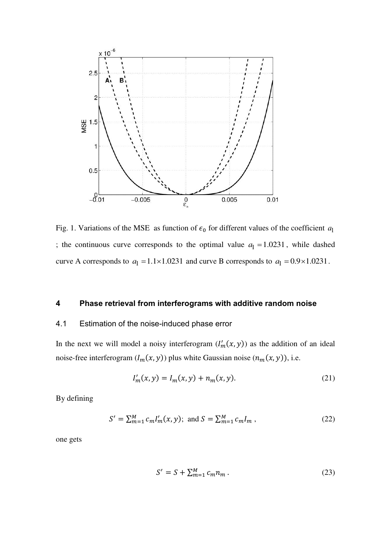

Fig. 1. Variations of the MSE as function of  $\epsilon_0$  for different values of the coefficient  $a_1$ ; the continuous curve corresponds to the optimal value  $a_1 = 1.0231$ , while dashed curve A corresponds to  $a_1 = 1.1 \times 1.0231$  and curve B corresponds to  $a_1 = 0.9 \times 1.0231$ .

## **4 Phase retrieval from interferograms with additive random noise**

#### 4.1 Estimation of the noise-induced phase error

In the next we will model a noisy interferogram  $(I'_m(x, y))$  as the addition of an ideal noise-free interferogram  $(I_m(x, y))$  plus white Gaussian noise  $(n_m(x, y))$ , i.e.

$$
I'_m(x, y) = I_m(x, y) + n_m(x, y).
$$
 (21)

By defining

$$
S' = \sum_{m=1}^{M} c_m I'_m(x, y); \text{ and } S = \sum_{m=1}^{M} c_m I_m , \qquad (22)
$$

one gets

$$
S' = S + \sum_{m=1}^{M} c_m n_m \,. \tag{23}
$$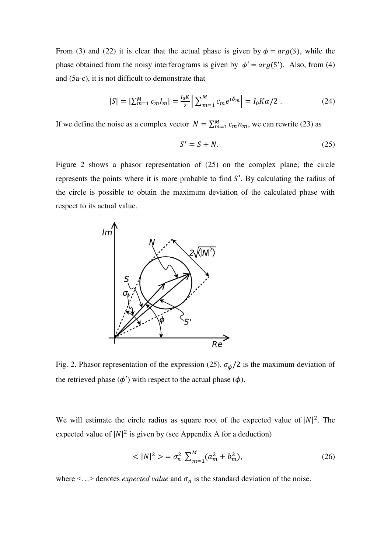From (3) and (22) it is clear that the actual phase is given by  $\phi = arg(S)$ , while the phase obtained from the noisy interferograms is given by  $\phi' = arg(S')$ . Also, from (4) and (5a-c), it is not difficult to demonstrate that

$$
|S| = |\sum_{m=1}^{M} c_m I_m| = \frac{I_0 K}{2} \left| \sum_{m=1}^{M} c_m e^{i\delta_m} \right| = I_0 K \alpha / 2 \ . \tag{24}
$$

If we define the noise as a complex vector  $N = \sum_{m=1}^{M} c_m n_m$ , we can rewrite (23) as

$$
S' = S + N.\tag{25}
$$

Figure 2 shows a phasor representation of (25) on the complex plane; the circle represents the points where it is more probable to find  $S'$ . By calculating the radius of the circle is possible to obtain the maximum deviation of the calculated phase with respect to its actual value.



Fig. 2. Phasor representation of the expression (25).  $\sigma_{\phi}/2$  is the maximum deviation of the retrieved phase  $(\phi')$  with respect to the actual phase  $(\phi)$ .

We will estimate the circle radius as square root of the expected value of  $|N|^2$ . The expected value of  $|N|^2$  is given by (see Appendix A for a deduction)

$$
\langle |N|^2 \rangle = \sigma_n^2 \sum_{m=1}^M (a_m^2 + b_m^2), \tag{26}
$$

where  $\leq ...$  denotes *expected value* and  $\sigma_n$  is the standard deviation of the noise.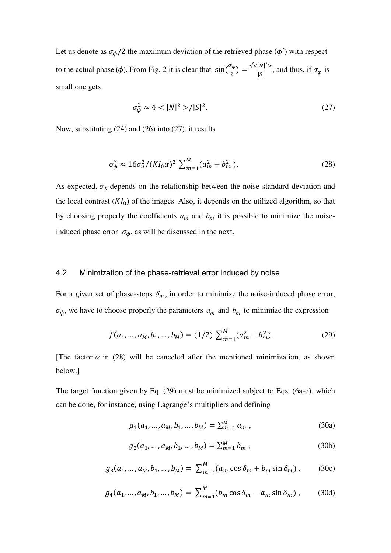Let us denote as  $\sigma_{\phi}/2$  the maximum deviation of the retrieved phase ( $\phi'$ ) with respect to the actual phase ( $\phi$ ). From Fig, 2 it is clear that  $sin(\frac{\sigma_{\phi}}{2}) = \frac{\sqrt{(|N|^2)}}{|S|}$ , and thus, if  $\sigma_{\phi}$  is small one gets

$$
\sigma_{\phi}^2 \approx 4 < |N|^2 > / |S|^2. \tag{27}
$$

Now, substituting (24) and (26) into (27), it results

$$
\sigma_{\phi}^2 \approx 16\sigma_n^2 / (K I_0 \alpha)^2 \sum_{m=1}^M (a_m^2 + b_m^2).
$$
 (28)

As expected,  $\sigma_{\phi}$  depends on the relationship between the noise standard deviation and the local contrast  $(KI_0)$  of the images. Also, it depends on the utilized algorithm, so that by choosing properly the coefficients  $a_m$  and  $b_m$  it is possible to minimize the noiseinduced phase error  $\sigma_{\phi}$ , as will be discussed in the next.

#### 4.2 Minimization of the phase-retrieval error induced by noise

For a given set of phase-steps  $\delta_m$ , in order to minimize the noise-induced phase error,  $\sigma_{\phi}$ , we have to choose properly the parameters  $a_m$  and  $b_m$  to minimize the expression

$$
f(a_1, ..., a_M, b_1, ..., b_M) = (1/2) \sum_{m=1}^{M} (a_m^2 + b_m^2).
$$
 (29)

[The factor  $\alpha$  in (28) will be canceled after the mentioned minimization, as shown below.]

The target function given by Eq. (29) must be minimized subject to Eqs. (6a-c), which can be done, for instance, using Lagrange's multipliers and defining

$$
g_1(a_1, ..., a_M, b_1, ..., b_M) = \sum_{m=1}^{M} a_m , \qquad (30a)
$$

$$
g_2(a_1, ..., a_M, b_1, ..., b_M) = \sum_{m=1}^{M} b_m,
$$
\n(30b)

$$
g_3(a_1, ..., a_M, b_1, ..., b_M) = \sum_{m=1}^{M} (a_m \cos \delta_m + b_m \sin \delta_m), \quad (30c)
$$

$$
g_4(a_1, ..., a_M, b_1, ..., b_M) = \sum_{m=1}^{M} (b_m \cos \delta_m - a_m \sin \delta_m), \quad (30d)
$$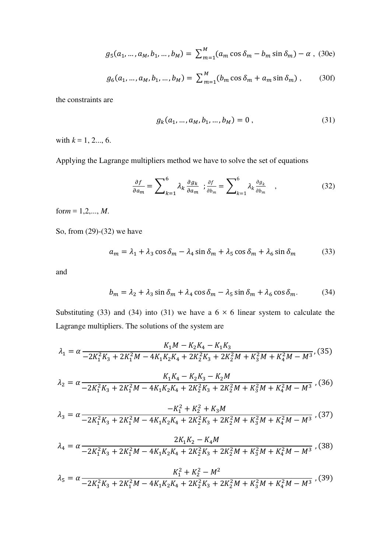$$
g_5(a_1, ..., a_M, b_1, ..., b_M) = \sum_{m=1}^{M} (a_m \cos \delta_m - b_m \sin \delta_m) - \alpha ,
$$
 (30e)

$$
g_6(a_1, ..., a_M, b_1, ..., b_M) = \sum_{m=1}^{M} (b_m \cos \delta_m + a_m \sin \delta_m), \quad (30f)
$$

the constraints are

$$
g_k(a_1, ..., a_M, b_1, ..., b_M) = 0,
$$
\n(31)

with  $k = 1, 2, \ldots, 6$ .

Applying the Lagrange multipliers method we have to solve the set of equations

$$
\frac{\partial f}{\partial a_m} = \sum_{k=1}^{6} \lambda_k \frac{\partial g_k}{\partial a_m} \; ; \; \frac{\partial f}{\partial b_m} = \sum_{k=1}^{6} \lambda_k \frac{\partial g_k}{\partial b_m} \quad , \tag{32}
$$

for $m = 1, 2, ..., M$ .

So, from (29)-(32) we have

$$
a_m = \lambda_1 + \lambda_3 \cos \delta_m - \lambda_4 \sin \delta_m + \lambda_5 \cos \delta_m + \lambda_6 \sin \delta_m \tag{33}
$$

and

$$
b_m = \lambda_2 + \lambda_3 \sin \delta_m + \lambda_4 \cos \delta_m - \lambda_5 \sin \delta_m + \lambda_6 \cos \delta_m. \tag{34}
$$

Substituting (33) and (34) into (31) we have a  $6 \times 6$  linear system to calculate the Lagrange multipliers. The solutions of the system are

$$
\lambda_1 = \alpha \frac{K_1 M - K_2 K_4 - K_1 K_3}{-2K_1^2 K_3 + 2K_1^2 M - 4K_1 K_2 K_4 + 2K_2^2 K_3 + 2K_2^2 M + K_3^2 M + K_4^2 M - M^3},
$$
(35)

$$
\lambda_2 = \alpha \frac{K_1 K_4 - K_2 K_3 - K_2 M}{-2K_1^2 K_3 + 2K_1^2 M - 4K_1 K_2 K_4 + 2K_2^2 K_3 + 2K_2^2 M + K_3^2 M + K_4^2 M - M^3},
$$
(36)

$$
\lambda_3 = \alpha \frac{-K_1^2 + K_2^2 + K_3 M}{-2K_1^2 K_3 + 2K_1^2 M - 4K_1 K_2 K_4 + 2K_2^2 K_3 + 2K_2^2 M + K_3^2 M + K_4^2 M - M^3},
$$
(37)

$$
\lambda_4 = \alpha \frac{2K_1K_2 - K_4M}{-2K_1^2K_3 + 2K_1^2M - 4K_1K_2K_4 + 2K_2^2K_3 + 2K_2^2M + K_3^2M + K_4^2M - M^3},
$$
(38)

$$
\lambda_5 = \alpha \frac{K_1^2 + K_2^2 - M^2}{-2K_1^2 K_3 + 2K_1^2 M - 4K_1 K_2 K_4 + 2K_2^2 K_3 + 2K_2^2 M + K_3^2 M + K_4^2 M - M^3},
$$
(39)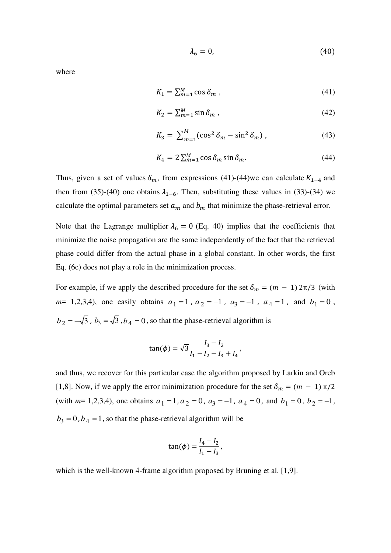$$
\lambda_6 = 0,\tag{40}
$$

where

$$
K_1 = \sum_{m=1}^{M} \cos \delta_m \,, \tag{41}
$$

$$
K_2 = \sum_{m=1}^{M} \sin \delta_m , \qquad (42)
$$

$$
K_3 = \sum_{m=1}^{M} (\cos^2 \delta_m - \sin^2 \delta_m), \qquad (43)
$$

$$
K_4 = 2\sum_{m=1}^{M} \cos \delta_m \sin \delta_m. \tag{44}
$$

Thus, given a set of values  $\delta_m$ , from expressions (41)-(44)we can calculate  $K_{1-4}$  and then from (35)-(40) one obtains  $\lambda_{1-6}$ . Then, substituting these values in (33)-(34) we calculate the optimal parameters set  $a_m$  and  $b_m$  that minimize the phase-retrieval error.

Note that the Lagrange multiplier  $\lambda_6 = 0$  (Eq. 40) implies that the coefficients that minimize the noise propagation are the same independently of the fact that the retrieved phase could differ from the actual phase in a global constant. In other words, the first Eq. (6c) does not play a role in the minimization process.

For example, if we apply the described procedure for the set  $\delta_m = (m - 1) 2\pi/3$  (with  $m=1,2,3,4$ , one easily obtains  $a_1 = 1$ ,  $a_2 = -1$ ,  $a_3 = -1$ ,  $a_4 = 1$ , and  $b_1 = 0$ ,  $b_2 = -\sqrt{3}$ ,  $b_3 = \sqrt{3}$ ,  $b_4 = 0$ , so that the phase-retrieval algorithm is

$$
\tan(\phi) = \sqrt{3} \frac{I_3 - I_2}{I_1 - I_2 - I_3 + I_4},
$$

and thus, we recover for this particular case the algorithm proposed by Larkin and Oreb [1,8]. Now, if we apply the error minimization procedure for the set  $\delta_m = (m - 1) \pi/2$ (with  $m=1,2,3,4$ ), one obtains  $a_1 = 1, a_2 = 0, a_3 = -1, a_4 = 0$ , and  $b_1 = 0, b_2 = -1$ ,  $b_3 = 0$ ,  $b_4 = 1$ , so that the phase-retrieval algorithm will be

$$
\tan(\phi) = \frac{I_4 - I_2}{I_1 - I_3},
$$

which is the well-known 4-frame algorithm proposed by Bruning et al. [1,9].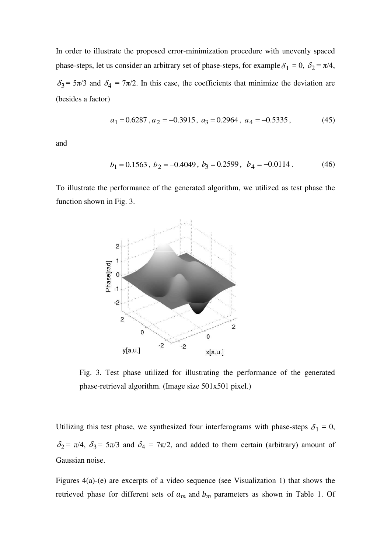In order to illustrate the proposed error-minimization procedure with unevenly spaced phase-steps, let us consider an arbitrary set of phase-steps, for example  $\delta_1 = 0$ ,  $\delta_2 = \pi/4$ ,  $\delta_3$  = 5 $\pi$ /3 and  $\delta_4$  = 7 $\pi$ /2. In this case, the coefficients that minimize the deviation are (besides a factor)

$$
a_1 = 0.6287, a_2 = -0.3915, a_3 = 0.2964, a_4 = -0.5335,
$$
 (45)

and

$$
b_1 = 0.1563
$$
,  $b_2 = -0.4049$ ,  $b_3 = 0.2599$ ,  $b_4 = -0.0114$ . (46)

To illustrate the performance of the generated algorithm, we utilized as test phase the function shown in Fig. 3.



Fig. 3. Test phase utilized for illustrating the performance of the generated phase-retrieval algorithm. (Image size 501x501 pixel.)

Utilizing this test phase, we synthesized four interferograms with phase-steps  $\delta_1 = 0$ ,  $\delta_2 = \pi/4$ ,  $\delta_3 = 5\pi/3$  and  $\delta_4 = 7\pi/2$ , and added to them certain (arbitrary) amount of Gaussian noise.

Figures 4(a)-(e) are excerpts of a video sequence (see Visualization 1) that shows the retrieved phase for different sets of  $a_m$  and  $b_m$  parameters as shown in Table 1. Of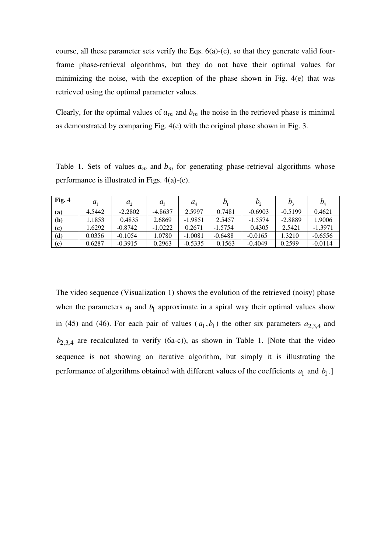course, all these parameter sets verify the Eqs. 6(a)-(c), so that they generate valid fourframe phase-retrieval algorithms, but they do not have their optimal values for minimizing the noise, with the exception of the phase shown in Fig. 4(e) that was retrieved using the optimal parameter values.

Clearly, for the optimal values of  $a_m$  and  $b_m$  the noise in the retrieved phase is minimal as demonstrated by comparing Fig. 4(e) with the original phase shown in Fig. 3.

Table 1. Sets of values  $a_m$  and  $b_m$  for generating phase-retrieval algorithms whose performance is illustrated in Figs. 4(a)-(e).

| Fig. 4 | $a_{1}$ | $a_{2}$   | $a_{\scriptscriptstyle 2}$ | $a_{\scriptscriptstyle{A}}$ |           | $\n  D$   | $\n  D$   | $\mathcal{D}_{\scriptscriptstyle{A}}$ |
|--------|---------|-----------|----------------------------|-----------------------------|-----------|-----------|-----------|---------------------------------------|
| (a)    | 4.5442  | $-2.2802$ | $-4.8637$                  | 2.5997                      | 0.7481    | $-0.6903$ | $-0.5199$ | 0.4621                                |
| (b)    | 1.1853  | 0.4835    | 2.6869                     | $-1.9851$                   | 2.5457    | $-1.5574$ | $-2.8889$ | 1.9006                                |
| (c)    | 1.6292  | $-0.8742$ | $-1.0222$                  | 0.2671                      | $-1.5754$ | 0.4305    | 2.5421    | $-1.3971$                             |
| (d)    | 0.0356  | $-0.1054$ | 1.0780                     | $-1.0081$                   | $-0.6488$ | $-0.0165$ | 1.3210    | $-0.6556$                             |
| (e)    | 0.6287  | $-0.3915$ | 0.2963                     | $-0.5335$                   | 0.1563    | $-0.4049$ | 0.2599    | $-0.0114$                             |

The video sequence (Visualization 1) shows the evolution of the retrieved (noisy) phase when the parameters  $a_1$  and  $b_1$  approximate in a spiral way their optimal values show in (45) and (46). For each pair of values  $(a_1, b_1)$  the other six parameters  $a_{2,3,4}$  and  $b_{2,3,4}$  are recalculated to verify (6a-c)), as shown in Table 1. [Note that the video sequence is not showing an iterative algorithm, but simply it is illustrating the performance of algorithms obtained with different values of the coefficients  $a_1$  and  $b_1$ .]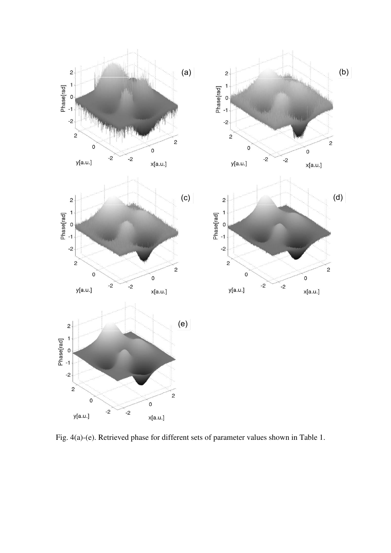

Fig. 4(a)-(e). Retrieved phase for different sets of parameter values shown in Table 1.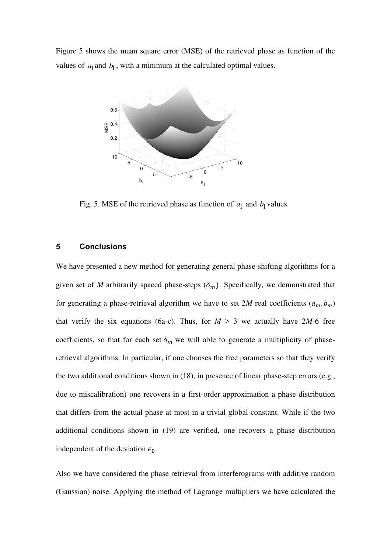Figure 5 shows the mean square error (MSE) of the retrieved phase as function of the values of  $a_1$  and  $b_1$ , with a minimum at the calculated optimal values.



Fig. 5. MSE of the retrieved phase as function of  $a_1$  and  $b_1$  values.

#### **5 Conclusions**

We have presented a new method for generating general phase-shifting algorithms for a given set of *M* arbitrarily spaced phase-steps  $(\delta_m)$ . Specifically, we demonstrated that for generating a phase-retrieval algorithm we have to set  $2M$  real coefficients  $(a_m, b_m)$ that verify the six equations (6a-c). Thus, for  $M > 3$  we actually have 2*M*-6 free coefficients, so that for each set  $\delta_m$  we will able to generate a multiplicity of phaseretrieval algorithms. In particular, if one chooses the free parameters so that they verify the two additional conditions shown in (18), in presence of linear phase-step errors (e.g., due to miscalibration) one recovers in a first-order approximation a phase distribution that differs from the actual phase at most in a trivial global constant. While if the two additional conditions shown in (19) are verified, one recovers a phase distribution independent of the deviation  $\epsilon_0$ .

Also we have considered the phase retrieval from interferograms with additive random (Gaussian) noise. Applying the method of Lagrange multipliers we have calculated the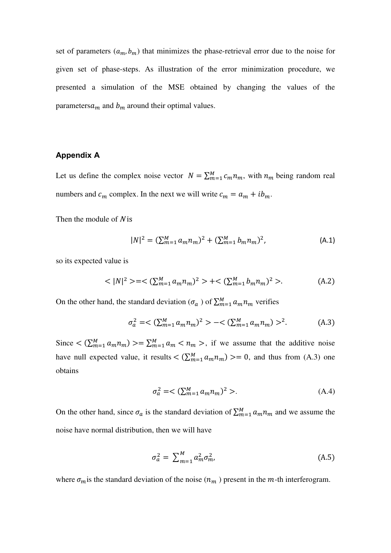set of parameters  $(a_m, b_m)$  that minimizes the phase-retrieval error due to the noise for given set of phase-steps. As illustration of the error minimization procedure, we presented a simulation of the MSE obtained by changing the values of the parameters $a_m$  and  $b_m$  around their optimal values.

## **Appendix A**

Let us define the complex noise vector  $N = \sum_{m=1}^{M} c_m n_m$ , with  $n_m$  being random real numbers and  $c_m$  complex. In the next we will write  $c_m = a_m + ib_m$ .

Then the module of  $N$  is

$$
|N|^2 = (\sum_{m=1}^M a_m n_m)^2 + (\sum_{m=1}^M b_m n_m)^2, \tag{A.1}
$$

so its expected value is

$$
\langle |N|^2 \rangle = \langle \sum_{m=1}^M a_m n_m \rangle^2 \rangle + \langle \sum_{m=1}^M b_m n_m \rangle^2 \rangle. \tag{A.2}
$$

On the other hand, the standard deviation ( $\sigma_a$ ) of  $\sum_{m=1}^{M} a_m n_m$  verifies

$$
\sigma_a^2 = \langle \sum_{m=1}^M a_m n_m \rangle^2 \rangle - \langle \sum_{m=1}^M a_m n_m \rangle^2. \tag{A.3}
$$

Since  $\leq (\sum_{m=1}^{M} a_m n_m) \geq \sum_{m=1}^{M} a_m < n_m$ , if we assume that the additive noise have null expected value, it results  $\langle \sum_{m=1}^{M} a_m n_m \rangle \rangle = 0$ , and thus from (A.3) one obtains

$$
\sigma_a^2 = \langle \sum_{m=1}^M a_m n_m \rangle^2 \rangle. \tag{A.4}
$$

On the other hand, since  $\sigma_a$  is the standard deviation of  $\sum_{m=1}^{M} a_m n_m$  and we assume the noise have normal distribution, then we will have

$$
\sigma_a^2 = \sum_{m=1}^M a_m^2 \sigma_m^2, \tag{A.5}
$$

where  $\sigma_m$  is the standard deviation of the noise  $(n_m)$  present in the m-th interferogram.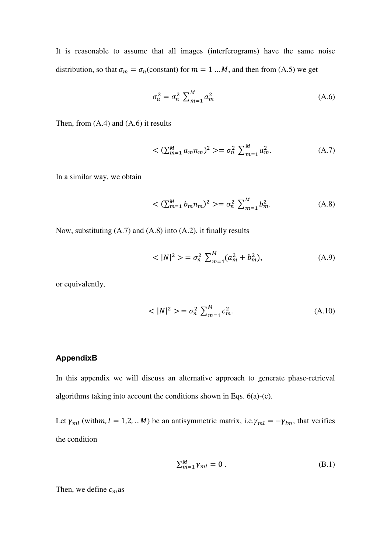It is reasonable to assume that all images (interferograms) have the same noise distribution, so that  $\sigma_m = \sigma_n$  (constant) for  $m = 1 ... M$ , and then from (A.5) we get

$$
\sigma_a^2 = \sigma_n^2 \sum_{m=1}^M a_m^2 \tag{A.6}
$$

Then, from (A.4) and (A.6) it results

$$
\langle \sum_{m=1}^{M} a_m n_m \rangle^2 \rangle = \sigma_n^2 \sum_{m=1}^{M} a_m^2. \tag{A.7}
$$

In a similar way, we obtain

$$
\langle \sum_{m=1}^{M} b_m n_m \rangle^2 \rangle = \sigma_n^2 \sum_{m=1}^{M} b_m^2. \tag{A.8}
$$

Now, substituting (A.7) and (A.8) into (A.2), it finally results

$$
\langle |N|^2 \rangle = \sigma_n^2 \sum_{m=1}^M (a_m^2 + b_m^2), \tag{A.9}
$$

or equivalently,

$$
\langle |N|^2 \rangle = \sigma_n^2 \sum_{m=1}^M c_m^2. \tag{A.10}
$$

## **AppendixB**

In this appendix we will discuss an alternative approach to generate phase-retrieval algorithms taking into account the conditions shown in Eqs. 6(a)-(c).

Let  $\gamma_{ml}$  (withm,  $l = 1, 2, ... M$ ) be an antisymmetric matrix, i.e. $\gamma_{ml} = -\gamma_{lm}$ , that verifies the condition

$$
\sum_{m=1}^{M} \gamma_{ml} = 0 \tag{B.1}
$$

Then, we define  $c_m$ as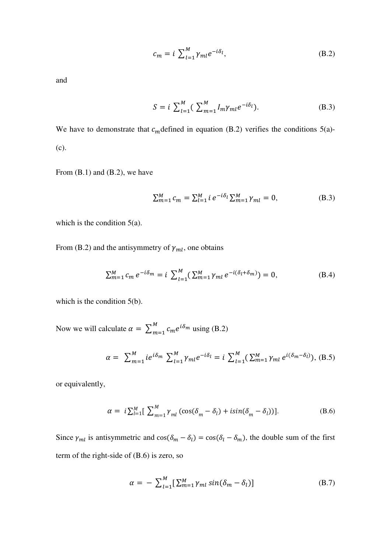$$
c_m = i \sum_{l=1}^{M} \gamma_{ml} e^{-i\delta_l}, \tag{B.2}
$$

and

$$
S = i \sum_{l=1}^{M} (\sum_{m=1}^{M} I_m \gamma_{ml} e^{-i\delta_l}).
$$
 (B.3)

We have to demonstrate that  $c_m$  defined in equation (B.2) verifies the conditions 5(a)-(c).

From (B.1) and (B.2), we have

$$
\sum_{m=1}^{M} c_m = \sum_{l=1}^{M} i \, e^{-i\delta_l} \sum_{m=1}^{M} \gamma_{ml} = 0,\tag{B.3}
$$

which is the condition 5(a).

From (B.2) and the antisymmetry of  $\gamma_{ml}$ , one obtains

$$
\sum_{m=1}^{M} c_m e^{-i\delta_m} = i \sum_{l=1}^{M} (\sum_{m=1}^{M} \gamma_{ml} e^{-i(\delta_l + \delta_m)}) = 0,
$$
 (B.4)

which is the condition 5(b).

Now we will calculate  $\alpha = \sum_{m=1}^{M} c_m e^{i\delta_m}$  using (B.2)

$$
\alpha = \sum_{m=1}^{M} i e^{i\delta_m} \sum_{l=1}^{M} \gamma_{ml} e^{-i\delta_l} = i \sum_{l=1}^{M} (\sum_{m=1}^{M} \gamma_{ml} e^{i(\delta_m - \delta_l)}), \quad (B.5)
$$

or equivalently,

$$
\alpha = i \sum_{l=1}^{M} \left[ \sum_{m=1}^{M} \gamma_{ml} \left( \cos(\delta_m - \delta_l) + i \sin(\delta_m - \delta_l) \right) \right]. \tag{B.6}
$$

Since  $\gamma_{ml}$  is antisymmetric and  $\cos(\delta_m - \delta_l) = \cos(\delta_l - \delta_m)$ , the double sum of the first term of the right-side of (B.6) is zero, so

$$
\alpha = -\sum_{l=1}^{M} \left[ \sum_{m=1}^{M} \gamma_{ml} \sin(\delta_m - \delta_l) \right]
$$
 (B.7)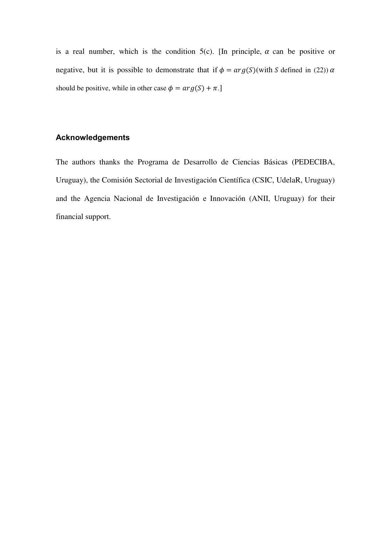is a real number, which is the condition  $5(c)$ . [In principle,  $\alpha$  can be positive or negative, but it is possible to demonstrate that if  $\phi = arg(S)$ (with S defined in (22))  $\alpha$ should be positive, while in other case  $\phi = arg(S) + \pi$ .]

## **Acknowledgements**

The authors thanks the Programa de Desarrollo de Ciencias Básicas (PEDECIBA, Uruguay), the Comisión Sectorial de Investigación Científica (CSIC, UdelaR, Uruguay) and the Agencia Nacional de Investigación e Innovación (ANII, Uruguay) for their financial support.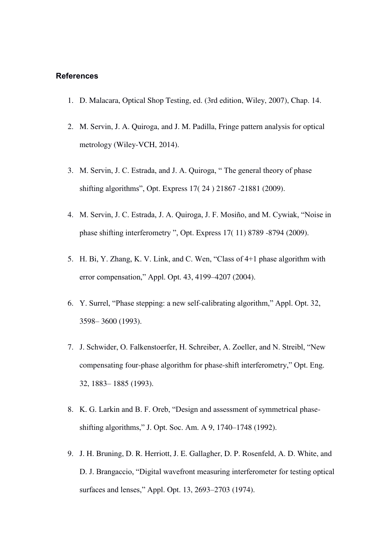#### **References**

- 1. D. Malacara, Optical Shop Testing, ed. (3rd edition, Wiley, 2007), Chap. 14.
- 2. M. Servin, J. A. Quiroga, and J. M. Padilla, Fringe pattern analysis for optical metrology (Wiley-VCH, 2014).
- 3. M. Servin, J. C. Estrada, and J. A. Quiroga, " The general theory of phase shifting algorithms", Opt. Express 17( 24 ) 21867 -21881 (2009).
- 4. M. Servin, J. C. Estrada, J. A. Quiroga, J. F. Mosiño, and M. Cywiak, "Noise in phase shifting interferometry ", Opt. Express 17( 11) 8789 -8794 (2009).
- 5. H. Bi, Y. Zhang, K. V. Link, and C. Wen, "Class of 4+1 phase algorithm with error compensation," Appl. Opt. 43, 4199–4207 (2004).
- 6. Y. Surrel, "Phase stepping: a new self-calibrating algorithm," Appl. Opt. 32, 3598– 3600 (1993).
- 7. J. Schwider, O. Falkenstoerfer, H. Schreiber, A. Zoeller, and N. Streibl, "New compensating four-phase algorithm for phase-shift interferometry," Opt. Eng. 32, 1883– 1885 (1993).
- 8. K. G. Larkin and B. F. Oreb, "Design and assessment of symmetrical phaseshifting algorithms," J. Opt. Soc. Am. A 9, 1740–1748 (1992).
- 9. J. H. Bruning, D. R. Herriott, J. E. Gallagher, D. P. Rosenfeld, A. D. White, and D. J. Brangaccio, "Digital wavefront measuring interferometer for testing optical surfaces and lenses," Appl. Opt. 13, 2693–2703 (1974).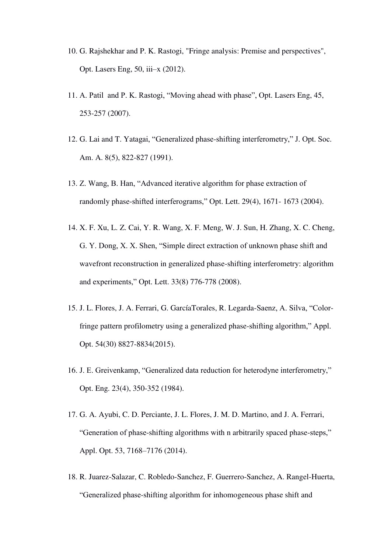- 10. G. Rajshekhar and P. K. Rastogi, "Fringe analysis: Premise and perspectives", Opt. Lasers Eng, 50, iii–x (2012).
- 11. A. Patil and P. K. Rastogi, "Moving ahead with phase", Opt. Lasers Eng, 45, 253-257 (2007).
- 12. G. Lai and T. Yatagai, "Generalized phase-shifting interferometry," J. Opt. Soc. Am. A. 8(5), 822-827 (1991).
- 13. Z. Wang, B. Han, "Advanced iterative algorithm for phase extraction of randomly phase-shifted interferograms," Opt. Lett. 29(4), 1671- 1673 (2004).
- 14. X. F. Xu, L. Z. Cai, Y. R. Wang, X. F. Meng, W. J. Sun, H. Zhang, X. C. Cheng, G. Y. Dong, X. X. Shen, "Simple direct extraction of unknown phase shift and wavefront reconstruction in generalized phase-shifting interferometry: algorithm and experiments," Opt. Lett. 33(8) 776-778 (2008).
- 15. J. L. Flores, J. A. Ferrari, G. GarcíaTorales, R. Legarda-Saenz, A. Silva, "Colorfringe pattern profilometry using a generalized phase-shifting algorithm," Appl. Opt. 54(30) 8827-8834(2015).
- 16. J. E. Greivenkamp, "Generalized data reduction for heterodyne interferometry," Opt. Eng. 23(4), 350-352 (1984).
- 17. G. A. Ayubi, C. D. Perciante, J. L. Flores, J. M. D. Martino, and J. A. Ferrari, "Generation of phase-shifting algorithms with n arbitrarily spaced phase-steps," Appl. Opt. 53, 7168–7176 (2014).
- 18. R. Juarez-Salazar, C. Robledo-Sanchez, F. Guerrero-Sanchez, A. Rangel-Huerta, "Generalized phase-shifting algorithm for inhomogeneous phase shift and